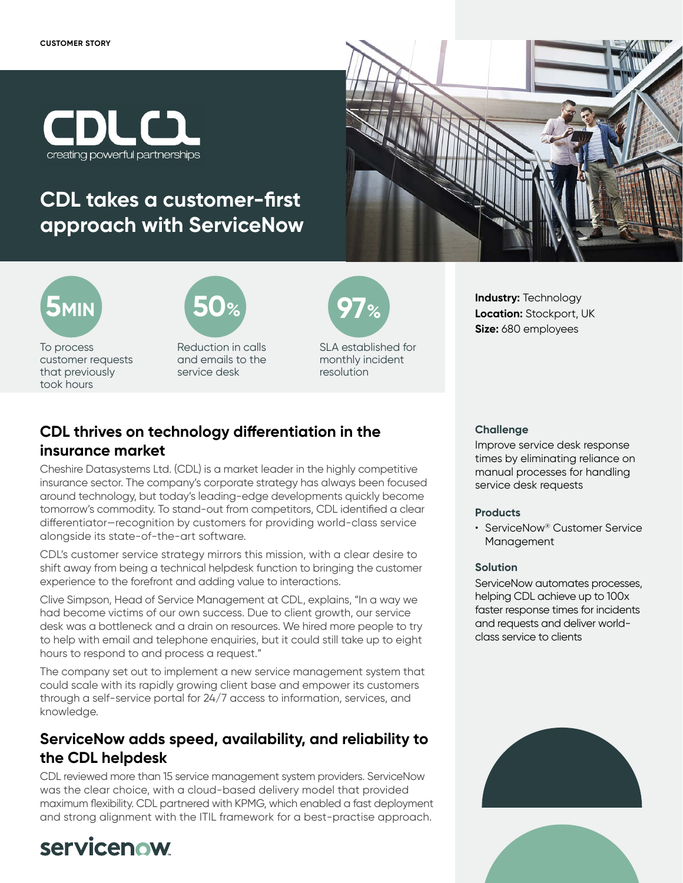

## **CDL takes a customer-first approach with ServiceNow**



**Industry:** Technology **Location:** Stockport, UK **Size:** 680 employees



To process customer requests that previously took hours



Reduction in calls and emails to the service desk



SLA established for monthly incident resolution

## **CDL thrives on technology differentiation in the insurance market**

Cheshire Datasystems Ltd. (CDL) is a market leader in the highly competitive insurance sector. The company's corporate strategy has always been focused around technology, but today's leading-edge developments quickly become tomorrow's commodity. To stand-out from competitors, CDL identified a clear differentiator—recognition by customers for providing world-class service alongside its state-of-the-art software.

CDL's customer service strategy mirrors this mission, with a clear desire to shift away from being a technical helpdesk function to bringing the customer experience to the forefront and adding value to interactions.

Clive Simpson, Head of Service Management at CDL, explains, "In a way we had become victims of our own success. Due to client growth, our service desk was a bottleneck and a drain on resources. We hired more people to try to help with email and telephone enquiries, but it could still take up to eight hours to respond to and process a request."

The company set out to implement a new service management system that could scale with its rapidly growing client base and empower its customers through a self-service portal for 24/7 access to information, services, and knowledge.

## **ServiceNow adds speed, availability, and reliability to the CDL helpdesk**

CDL reviewed more than 15 service management system providers. ServiceNow was the clear choice, with a cloud-based delivery model that provided maximum flexibility. CDL partnered with KPMG, which enabled a fast deployment and strong alignment with the ITIL framework for a best-practise approach.

# servicenow

#### **Challenge**

Improve service desk response times by eliminating reliance on manual processes for handling service desk requests

#### **Products**

• ServiceNow® Customer Service Management

#### **Solution**

ServiceNow automates processes, helping CDL achieve up to 100x faster response times for incidents and requests and deliver worldclass service to clients



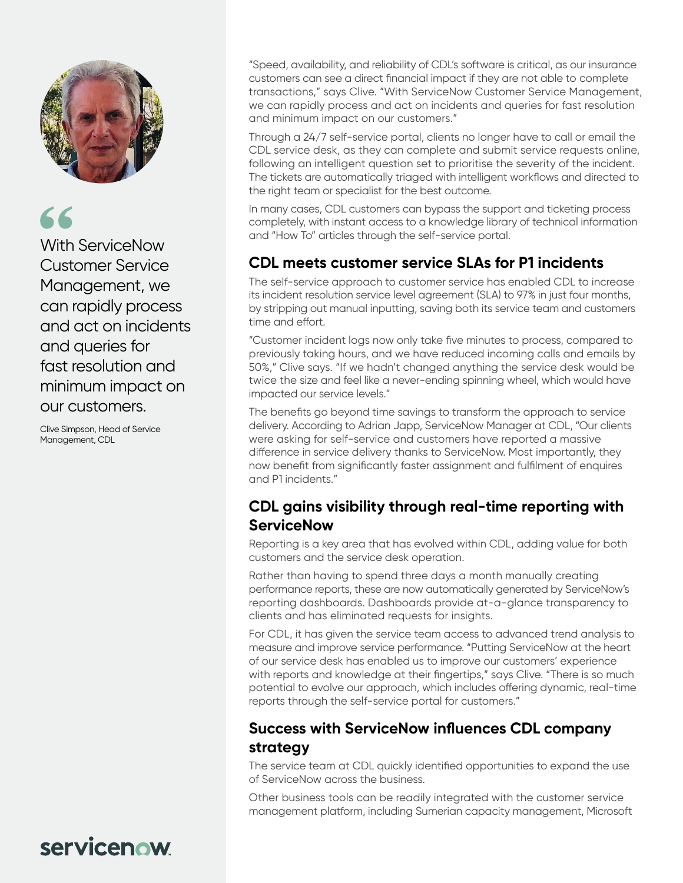

# 66

With ServiceNow Customer Service Management, we can rapidly process and act on incidents and queries for fast resolution and minimum impact on our customers.

Clive Simpson, Head of Service Management, CDL

"Speed, availability, and reliability of CDL's software is critical, as our insurance customers can see a direct financial impact if they are not able to complete transactions," says Clive. "With ServiceNow Customer Service Management, we can rapidly process and act on incidents and queries for fast resolution and minimum impact on our customers."

Through a 24/7 self-service portal, clients no longer have to call or email the CDL service desk, as they can complete and submit service requests online, following an intelligent question set to prioritise the severity of the incident. The tickets are automatically triaged with intelligent workflows and directed to the right team or specialist for the best outcome.

In many cases, CDL customers can bypass the support and ticketing process completely, with instant access to a knowledge library of technical information and "How To" articles through the self-service portal.

## **CDL meets customer service SLAs for P1 incidents**

The self-service approach to customer service has enabled CDL to increase its incident resolution service level agreement (SLA) to 97% in just four months, by stripping out manual inputting, saving both its service team and customers time and effort.

"Customer incident logs now only take five minutes to process, compared to previously taking hours, and we have reduced incoming calls and emails by 50%," Clive says. "If we hadn't changed anything the service desk would be twice the size and feel like a never-ending spinning wheel, which would have impacted our service levels."

The benefits go beyond time savings to transform the approach to service delivery. According to Adrian Japp, ServiceNow Manager at CDL, "Our clients were asking for self-service and customers have reported a massive difference in service delivery thanks to ServiceNow. Most importantly, they now benefit from significantly faster assignment and fulfilment of enquires and P1 incidents."

### **CDL gains visibility through real-time reporting with ServiceNow**

Reporting is a key area that has evolved within CDL, adding value for both customers and the service desk operation.

Rather than having to spend three days a month manually creating performance reports, these are now automatically generated by ServiceNow's reporting dashboards. Dashboards provide at-a-glance transparency to clients and has eliminated requests for insights.

For CDL, it has given the service team access to advanced trend analysis to measure and improve service performance. "Putting ServiceNow at the heart of our service desk has enabled us to improve our customers' experience with reports and knowledge at their fingertips," says Clive. "There is so much potential to evolve our approach, which includes offering dynamic, real-time reports through the self-service portal for customers."

## **Success with ServiceNow influences CDL company strategy**

The service team at CDL quickly identified opportunities to expand the use of ServiceNow across the business.

Other business tools can be readily integrated with the customer service management platform, including Sumerian capacity management, Microsoft

# servicenow